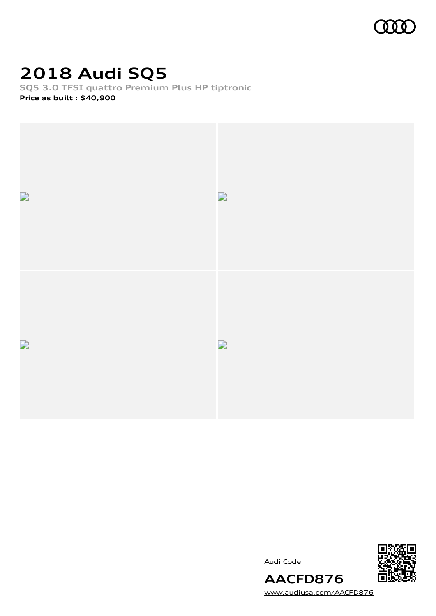

### **2018 Audi SQ5**

**SQ5 3.0 TFSI quattro Premium Plus HP tiptronic Price as built [:](#page-11-0) \$40,900**



Audi Code



[www.audiusa.com/AACFD876](https://www.audiusa.com/AACFD876)

**AACFD876**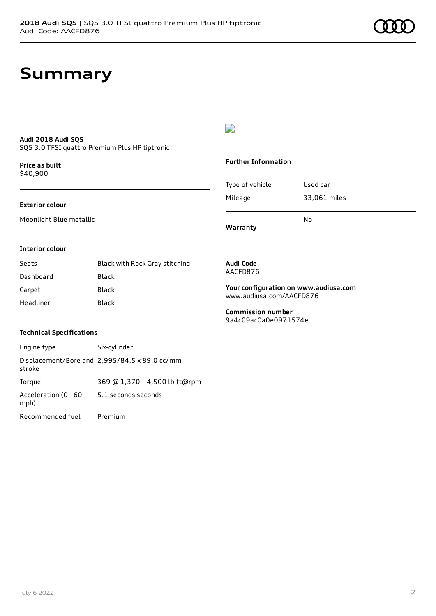### **Summary**

### **Audi 2018 Audi SQ5**

SQ5 3.0 TFSI quattro Premium Plus HP tiptronic

**Price as buil[t](#page-11-0)** \$40,900

#### **Exterior colour**

Moonlight Blue metallic

#### $\overline{\phantom{a}}$

#### **Further Information**

|                 | N٥           |
|-----------------|--------------|
| Mileage         | 33,061 miles |
| Type of vehicle | Used car     |

**Warranty**

#### **Interior colour**

| Seats     | Black with Rock Gray stitching |
|-----------|--------------------------------|
| Dashboard | Black                          |
| Carpet    | Black                          |
| Headliner | Black                          |

#### **Audi Code** AACFD876

**Your configuration on www.audiusa.com** [www.audiusa.com/AACFD876](https://www.audiusa.com/AACFD876)

**Commission number** 9a4c09ac0a0e0971574e

#### **Technical Specifications**

| Engine type                  | Six-cylinder                                  |
|------------------------------|-----------------------------------------------|
| stroke                       | Displacement/Bore and 2,995/84.5 x 89.0 cc/mm |
| Torque                       | 369 @ 1,370 - 4,500 lb-ft@rpm                 |
| Acceleration (0 - 60<br>mph) | 5.1 seconds seconds                           |
| Recommended fuel             | Premium                                       |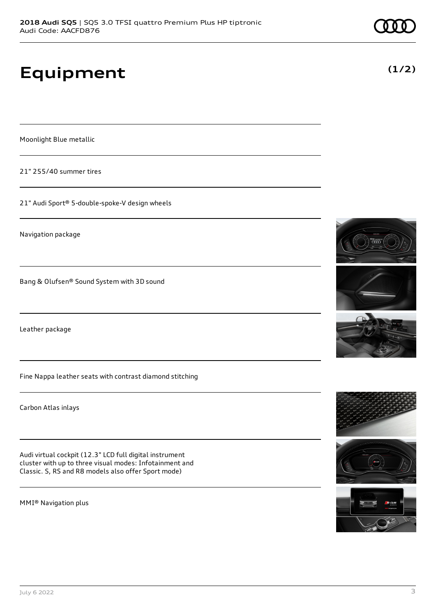# **Equipment**

Moonlight Blue metallic

21" 255/40 summer tires

21" Audi Sport® 5-double-spoke-V design wheels

Navigation package

Bang & Olufsen® Sound System with 3D sound

Leather package

Fine Nappa leather seats with contrast diamond stitching

Carbon Atlas inlays

Audi virtual cockpit (12.3" LCD full digital instrument cluster with up to three visual modes: Infotainment and Classic. S, RS and R8 models also offer Sport mode)

MMI® Navigation plus











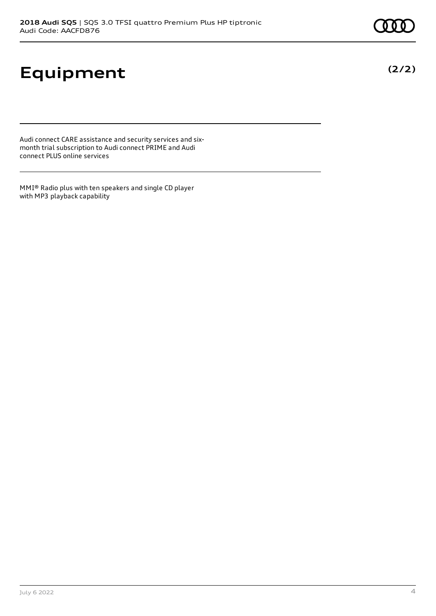# **Equipment**

Audi connect CARE assistance and security services and sixmonth trial subscription to Audi connect PRIME and Audi connect PLUS online services

MMI® Radio plus with ten speakers and single CD player with MP3 playback capability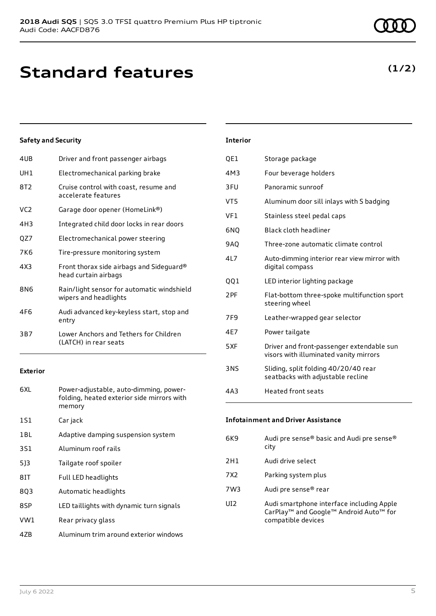### **Standard features**

#### **Safety and Security**

| 4UB             | Driver and front passenger airbags                                  |
|-----------------|---------------------------------------------------------------------|
| UH1             | Electromechanical parking brake                                     |
| 8T2             | Cruise control with coast, resume and<br>accelerate features        |
| VC <sub>2</sub> | Garage door opener (HomeLink®)                                      |
| 4H3             | Integrated child door locks in rear doors                           |
| QZ7             | Electromechanical power steering                                    |
| 7K6             | Tire-pressure monitoring system                                     |
| 4X3             | Front thorax side airbags and Sideguard®<br>head curtain airbags    |
| 8N6             | Rain/light sensor for automatic windshield<br>wipers and headlights |
| 4F6             | Audi advanced key-keyless start, stop and<br>entry                  |
| 3B7             | Lower Anchors and Tethers for Children<br>(LATCH) in rear seats     |

#### **Exterior**

| 6XL | Power-adjustable, auto-dimming, power-<br>folding, heated exterior side mirrors with<br>memory |
|-----|------------------------------------------------------------------------------------------------|
| 1S1 | Car jack                                                                                       |
| 1BL | Adaptive damping suspension system                                                             |
| 3S1 | Aluminum roof rails                                                                            |
| 513 | Tailgate roof spoiler                                                                          |
| 81T | Full LED headlights                                                                            |
| 8Q3 | Automatic headlights                                                                           |
| 8SP | LED taillights with dynamic turn signals                                                       |
| VW1 | Rear privacy glass                                                                             |
|     |                                                                                                |

### 4ZB Aluminum trim around exterior windows

| July 6 2022 | $\overline{\phantom{a}}$ |
|-------------|--------------------------|

| <b>Interior</b> |                                                                                     |
|-----------------|-------------------------------------------------------------------------------------|
| QE1             | Storage package                                                                     |
| 4M3             | Four beverage holders                                                               |
| 3FU             | Panoramic sunroof                                                                   |
| VT5             | Aluminum door sill inlays with S badging                                            |
| VF1             | Stainless steel pedal caps                                                          |
| 6NQ             | Black cloth headliner                                                               |
| <b>9AQ</b>      | Three-zone automatic climate control                                                |
| 417             | Auto-dimming interior rear view mirror with<br>digital compass                      |
| QQ1             | LED interior lighting package                                                       |
| 2PF             | Flat-bottom three-spoke multifunction sport<br>steering wheel                       |
| 7F <sub>9</sub> | Leather-wrapped gear selector                                                       |
| 4E7             | Power tailgate                                                                      |
| 5XF             | Driver and front-passenger extendable sun<br>visors with illuminated vanity mirrors |
| <b>3NS</b>      | Sliding, split folding 40/20/40 rear<br>seatbacks with adjustable recline           |
| 4A3             | <b>Heated front seats</b>                                                           |

#### **Infotainment and Driver Assistance**

6K9 Audi pre sense® basic and Audi pre sense® city 2H1 Audi drive select 7X2 Parking system plus 7W3 Audi pre sense® rear UI2 Audi smartphone interface including Apple CarPlay™ and Google™ Android Auto™ for compatible devices

### **(1/2)**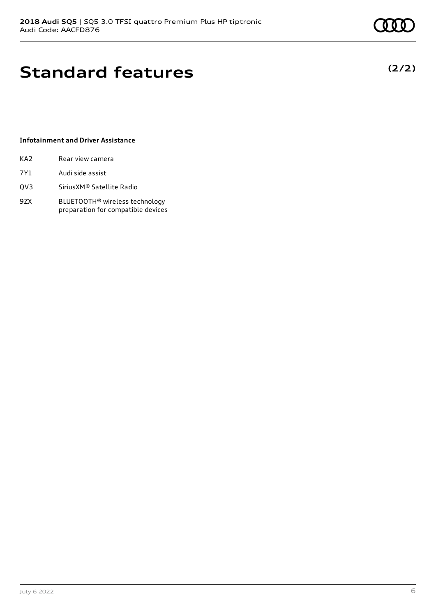**(2/2)**

# **Standard features**

#### **Infotainment and Driver Assistance**

- 7Y1 Audi side assist
- QV3 SiriusXM® Satellite Radio
- 9ZX BLUETOOTH® wireless technology preparation for compatible devices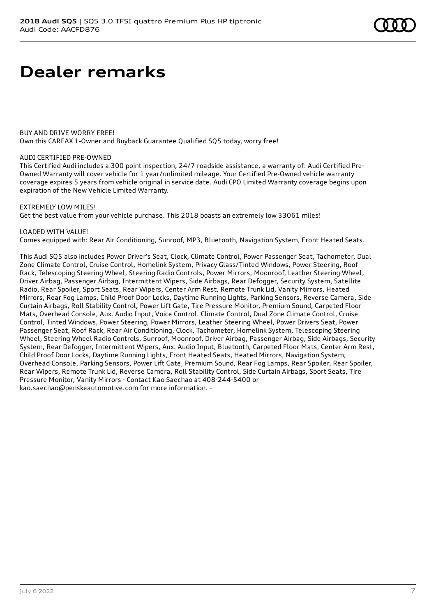BUY AND DRIVE WORRY FREE! Own this CARFAX 1-Owner and Buyback Guarantee Qualified SQ5 today, worry free!

#### AUDI CERTIFIED PRE-OWNED

This Certified Audi includes a 300 point inspection, 24/7 roadside assistance, a warranty of: Audi Certified Pre-Owned Warranty will cover vehicle for 1 year/unlimited mileage. Your Certified Pre-Owned vehicle warranty coverage expires 5 years from vehicle original in service date. Audi CPO Limited Warranty coverage begins upon expiration of the New Vehicle Limited Warranty.

#### EXTREMELY LOW MILES!

Get the best value from your vehicle purchase. This 2018 boasts an extremely low 33061 miles!

#### LOADED WITH VALUE!

Comes equipped with: Rear Air Conditioning, Sunroof, MP3, Bluetooth, Navigation System, Front Heated Seats.

This Audi SQ5 also includes Power Driver's Seat, Clock, Climate Control, Power Passenger Seat, Tachometer, Dual Zone Climate Control, Cruise Control, Homelink System, Privacy Glass/Tinted Windows, Power Steering, Roof Rack, Telescoping Steering Wheel, Steering Radio Controls, Power Mirrors, Moonroof, Leather Steering Wheel, Driver Airbag, Passenger Airbag, Intermittent Wipers, Side Airbags, Rear Defogger, Security System, Satellite Radio, Rear Spoiler, Sport Seats, Rear Wipers, Center Arm Rest, Remote Trunk Lid, Vanity Mirrors, Heated Mirrors, Rear Fog Lamps, Child Proof Door Locks, Daytime Running Lights, Parking Sensors, Reverse Camera, Side Curtain Airbags, Roll Stability Control, Power Lift Gate, Tire Pressure Monitor, Premium Sound, Carpeted Floor Mats, Overhead Console, Aux. Audio Input, Voice Control. Climate Control, Dual Zone Climate Control, Cruise Control, Tinted Windows, Power Steering, Power Mirrors, Leather Steering Wheel, Power Drivers Seat, Power Passenger Seat, Roof Rack, Rear Air Conditioning, Clock, Tachometer, Homelink System, Telescoping Steering Wheel, Steering Wheel Radio Controls, Sunroof, Moonroof, Driver Airbag, Passenger Airbag, Side Airbags, Security System, Rear Defogger, Intermittent Wipers, Aux. Audio Input, Bluetooth, Carpeted Floor Mats, Center Arm Rest, Child Proof Door Locks, Daytime Running Lights, Front Heated Seats, Heated Mirrors, Navigation System, Overhead Console, Parking Sensors, Power Lift Gate, Premium Sound, Rear Fog Lamps, Rear Spoiler, Rear Spoiler, Rear Wipers, Remote Trunk Lid, Reverse Camera, Roll Stability Control, Side Curtain Airbags, Sport Seats, Tire Pressure Monitor, Vanity Mirrors - Contact Kao Saechao at 408-244-5400 or kao.saechao@penskeautomotive.com for more information. -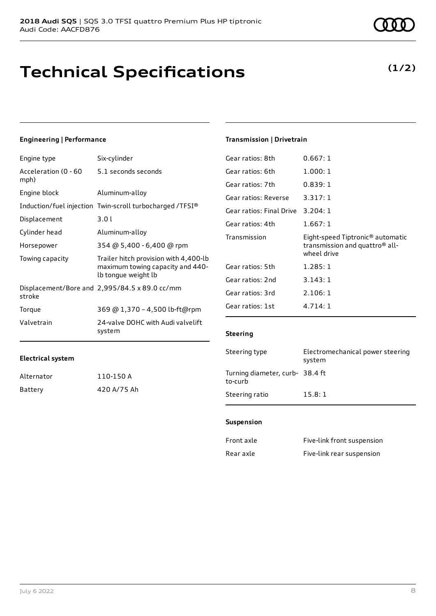### **Technical Specifications**

#### **Engineering | Performance**

| Engine type                  | Six-cylinder                                                                                     |
|------------------------------|--------------------------------------------------------------------------------------------------|
| Acceleration (0 - 60<br>mph) | 5.1 seconds seconds                                                                              |
| Engine block                 | Aluminum-alloy                                                                                   |
|                              | Induction/fuel injection Twin-scroll turbocharged /TFSI®                                         |
| Displacement                 | 3.01                                                                                             |
| Cylinder head                | Aluminum-alloy                                                                                   |
| Horsepower                   | 354 @ 5,400 - 6,400 @ rpm                                                                        |
| Towing capacity              | Trailer hitch provision with 4,400-lb<br>maximum towing capacity and 440-<br>lb tongue weight lb |
| stroke                       | Displacement/Bore and 2,995/84.5 x 89.0 cc/mm                                                    |
| Torque                       | 369 @ 1,370 - 4,500 lb-ft@rpm                                                                    |
| Valvetrain                   | 24-valve DOHC with Audi valvelift<br>system                                                      |
|                              |                                                                                                  |

### $G$ ear ratios:  $R$ th  $\qquad 0.667:1$

**Transmission | Drivetrain**

| ucar ratios. Oth         | ∪.∪∪/.⊥                                                                                                   |
|--------------------------|-----------------------------------------------------------------------------------------------------------|
| Gear ratios: 6th         | 1.000:1                                                                                                   |
| Gear ratios: 7th         | 0.839:1                                                                                                   |
| Gear ratios: Reverse     | 3.317:1                                                                                                   |
| Gear ratios: Final Drive | 3.204:1                                                                                                   |
| Gear ratios: 4th         | 1.667:1                                                                                                   |
| Transmission             | Eight-speed Tiptronic <sup>®</sup> automatic<br>transmission and quattro <sup>®</sup> all-<br>wheel drive |
| Gear ratios: 5th         | 1.285:1                                                                                                   |
| Gear ratios: 2nd         | 3.143:1                                                                                                   |
| Gear ratios: 3rd         | 2.106:1                                                                                                   |
| Gear ratios: 1st         | 4.714:1                                                                                                   |
|                          |                                                                                                           |

#### **Steering**

| Steering type                             | Electromechanical power steering<br>system |
|-------------------------------------------|--------------------------------------------|
| Turning diameter, curb-38.4 ft<br>to-curb |                                            |
| Steering ratio                            | 15.8:1                                     |

#### **Suspension**

| Front axle | Five-link front suspension |
|------------|----------------------------|
| Rear axle  | Five-link rear suspension  |

| Alternator | 110-150 A   |
|------------|-------------|
| Battery    | 420 A/75 Ah |

**(1/2)**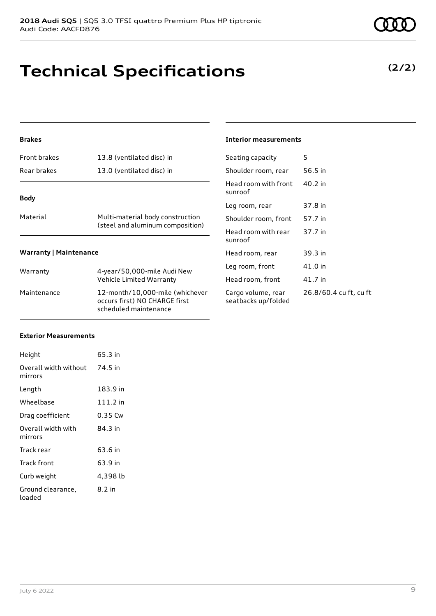### **Technical Specifications**

#### **Brakes**

| Front brakes                  | 13.8 (ventilated disc) in                                            |             |  |
|-------------------------------|----------------------------------------------------------------------|-------------|--|
| Rear brakes                   | 13.0 (ventilated disc) in                                            | S           |  |
| <b>Body</b>                   |                                                                      | ŀ<br>s<br>L |  |
| Material                      | Multi-material body construction<br>(steel and aluminum composition) | S<br>۲      |  |
| <b>Warranty   Maintenance</b> |                                                                      | s<br>ŀ      |  |
| Warranty                      | 4-year/50,000-mile Audi New<br>Vehicle Limited Warranty              | L<br>ŀ      |  |
| Maintenance                   | 12-month/10,000-mile (whichever                                      | C           |  |

occurs first) NO CHARGE first scheduled maintenance

#### **Interior measurements**

| Seating capacity                          | 5                      |
|-------------------------------------------|------------------------|
| Shoulder room, rear                       | 56.5 in                |
| Head room with front<br>sunroof           | $40.2$ in              |
| Leg room, rear                            | 37.8 in                |
| Shoulder room, front                      | 57.7 in                |
| Head room with rear<br>sunroof            | 37.7 in                |
| Head room, rear                           | 39.3 in                |
| Leg room, front                           | 41.0 in                |
| Head room, front                          | 41.7 in                |
| Cargo volume, rear<br>seatbacks up/folded | 26.8/60.4 cu ft, cu ft |

#### **Exterior Measurements**

| Height                           | 65.3 in  |
|----------------------------------|----------|
| Overall width without<br>mirrors | 74.5 in  |
| Length                           | 183.9 in |
| Wheelbase                        | 111.2 in |
| Drag coefficient                 | 0.35 Cw  |
| Overall width with<br>mirrors    | 84.3 in  |
| Track rear                       | 63.6 in  |
| Track front                      | 63.9 in  |
| Curb weight                      | 4,398 lb |
| Ground clearance,<br>loaded      | 8.2 in   |

#### **(2/2)**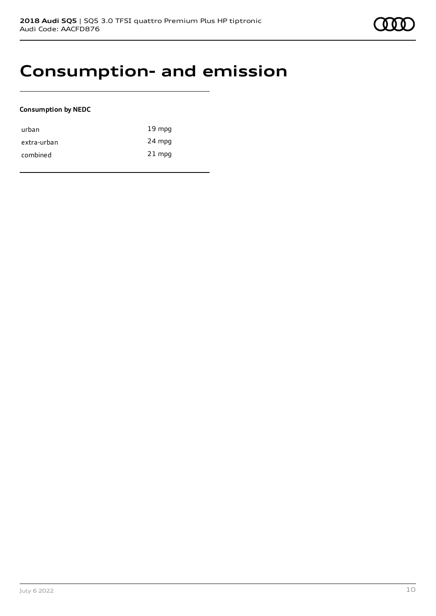### **Consumption- and emission**

#### **Consumption by NEDC**

| urban       | $19 \text{ mpg}$ |
|-------------|------------------|
| extra-urban | 24 mpg           |
| combined    | $21$ mpg         |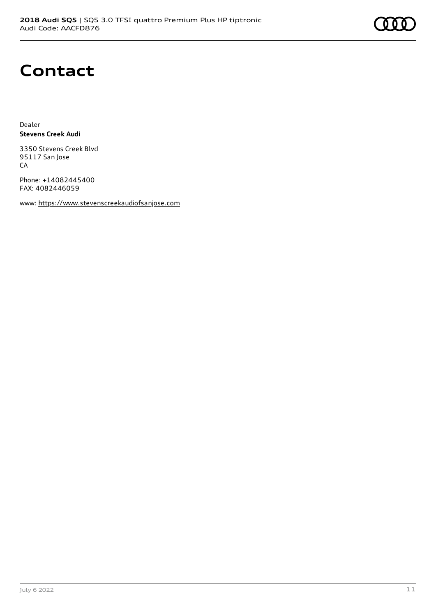

### **Contact**

Dealer **Stevens Creek Audi**

3350 Stevens Creek Blvd 95117 San Jose CA

Phone: +14082445400 FAX: 4082446059

www: [https://www.stevenscreekaudiofsanjose.com](https://www.stevenscreekaudiofsanjose.com/)